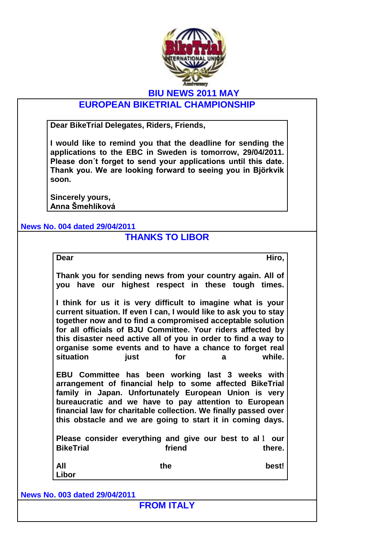

## **BIU NEWS 2011 MAY**

# **EUROPEAN BIKETRIAL CHAMPIONSHIP**

**Dear BikeTrial Delegates, Riders, Friends,**

**I would like to remind you that the deadline for sending the applications to the EBC in Sweden is tomorrow, 29/04/2011. Please don´t forget to send your applications until this date. Thank you. We are looking forward to seeing you in Björkvik soon.**

**Sincerely yours, Anna Šmehlíková**

**News No. 004 dated 29/04/2011**

## **THANKS TO LIBOR**

| ٧<br>w<br>۰.<br>. . |
|---------------------|
|---------------------|

**Dear Hiro,**

**Thank you for sending news from your country again. All of you have our highest respect in these tough times.** 

**I think for us it is very difficult to imagine what is your current situation. If even I can, I would like to ask you to stay together now and to find a compromised acceptable solution for all officials of BJU Committee. Your riders affected by this disaster need active all of you in order to find a way to organise some events and to have a chance to forget real situation** iust for a while.

**EBU Committee has been working last 3 weeks with arrangement of financial help to some affected BikeTrial family in Japan. Unfortunately European Union is very bureaucratic and we have to pay attention to European financial law for charitable collection. We finally passed over this obstacle and we are going to start it in coming days.** 

**Please consider everything and give our best to al**l **our BikeTrial** friend there.

| <b>All</b> |       | the | best! |
|------------|-------|-----|-------|
|            | Libor |     |       |

**News No. 003 dated 29/04/2011**

**FROM ITALY**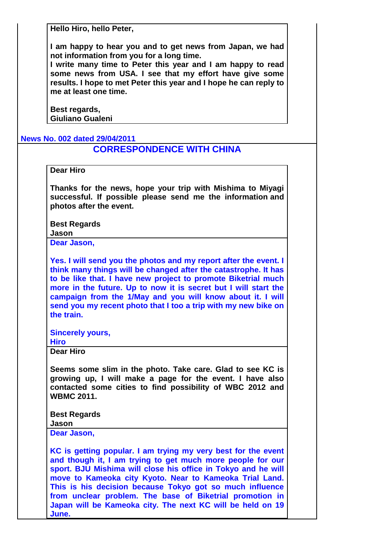**Hello Hiro, hello Peter,**

**I am happy to hear you and to get news from Japan, we had not information from you for a long time.** 

**I write many time to Peter this year and I am happy to read some news from USA. I see that my effort have give some results. I hope to met Peter this year and I hope he can reply to me at least one time.**

**Best regards, Giuliano Gualeni**

#### **News No. 002 dated 29/04/2011**

### **CORRESPONDENCE WITH CHINA**

### **Dear Hiro**

**Thanks for the news, hope your trip with Mishima to Miyagi successful. If possible please send me the information and photos after the event.**

**Best Regards Jason**

**Dear Jason,**

**Yes. I will send you the photos and my report after the event. I think many things will be changed after the catastrophe. It has to be like that. I have new project to promote Biketrial much more in the future. Up to now it is secret but I will start the campaign from the 1/May and you will know about it. I will send you my recent photo that I too a trip with my new bike on the train.**

**Sincerely yours,**

**Hiro**

**Dear Hiro**

**Seems some slim in the photo. Take care. Glad to see KC is growing up, I will make a page for the event. I have also contacted some cities to find possibility of WBC 2012 and WBMC 2011.**

**Best Regards Jason**

**Dear Jason,**

**KC is getting popular. I am trying my very best for the event and though it, I am trying to get much more people for our sport. BJU Mishima will close his office in Tokyo and he will move to Kameoka city Kyoto. Near to Kameoka Trial Land. This is his decision because Tokyo got so much influence from unclear problem. The base of Biketrial promotion in Japan will be Kameoka city. The next KC will be held on 19 June.**